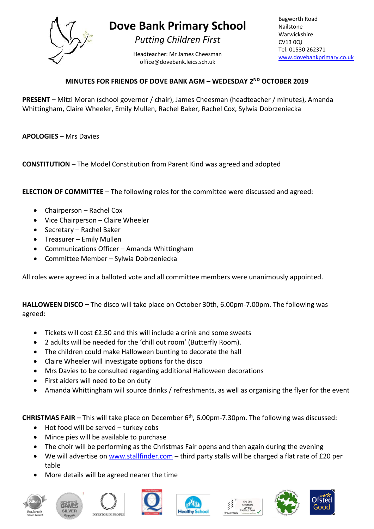

## **Dove Bank Primary School**

*Putting Children First*

Headteacher: Mr James Cheesman office@dovebank.leics.sch.uk

Bagworth Road Nailstone Warwickshire CV13 0QJ Tel: 01530 262371 [www.dovebankprimary.co.uk](http://www.dovebankprimary.co.uk/)

## **MINUTES FOR FRIENDS OF DOVE BANK AGM – WEDESDAY 2ND OCTOBER 2019**

**PRESENT –** Mitzi Moran (school governor / chair), James Cheesman (headteacher / minutes), Amanda Whittingham, Claire Wheeler, Emily Mullen, Rachel Baker, Rachel Cox, Sylwia Dobrzeniecka

**APOLOGIES** – Mrs Davies

**CONSTITUTION** – The Model Constitution from Parent Kind was agreed and adopted

**ELECTION OF COMMITTEE** – The following roles for the committee were discussed and agreed:

- Chairperson Rachel Cox
- Vice Chairperson Claire Wheeler
- Secretary Rachel Baker
- Treasurer Emily Mullen
- Communications Officer Amanda Whittingham
- Committee Member Sylwia Dobrzeniecka

All roles were agreed in a balloted vote and all committee members were unanimously appointed.

**HALLOWEEN DISCO –** The disco will take place on October 30th, 6.00pm-7.00pm. The following was agreed:

- Tickets will cost £2.50 and this will include a drink and some sweets
- 2 adults will be needed for the 'chill out room' (Butterfly Room).
- The children could make Halloween bunting to decorate the hall
- Claire Wheeler will investigate options for the disco
- Mrs Davies to be consulted regarding additional Halloween decorations
- First aiders will need to be on duty
- Amanda Whittingham will source drinks / refreshments, as well as organising the flyer for the event

**CHRISTMAS FAIR –** This will take place on December 6th, 6.00pm-7.30pm. The following was discussed:

- Hot food will be served turkey cobs
- Mince pies will be available to purchase
- The choir will be performing as the Christmas Fair opens and then again during the evening
- We will advertise on [www.stallfinder.com](http://www.stallfinder.com/) third party stalls will be charged a flat rate of £20 per table
- More details will be agreed nearer the time